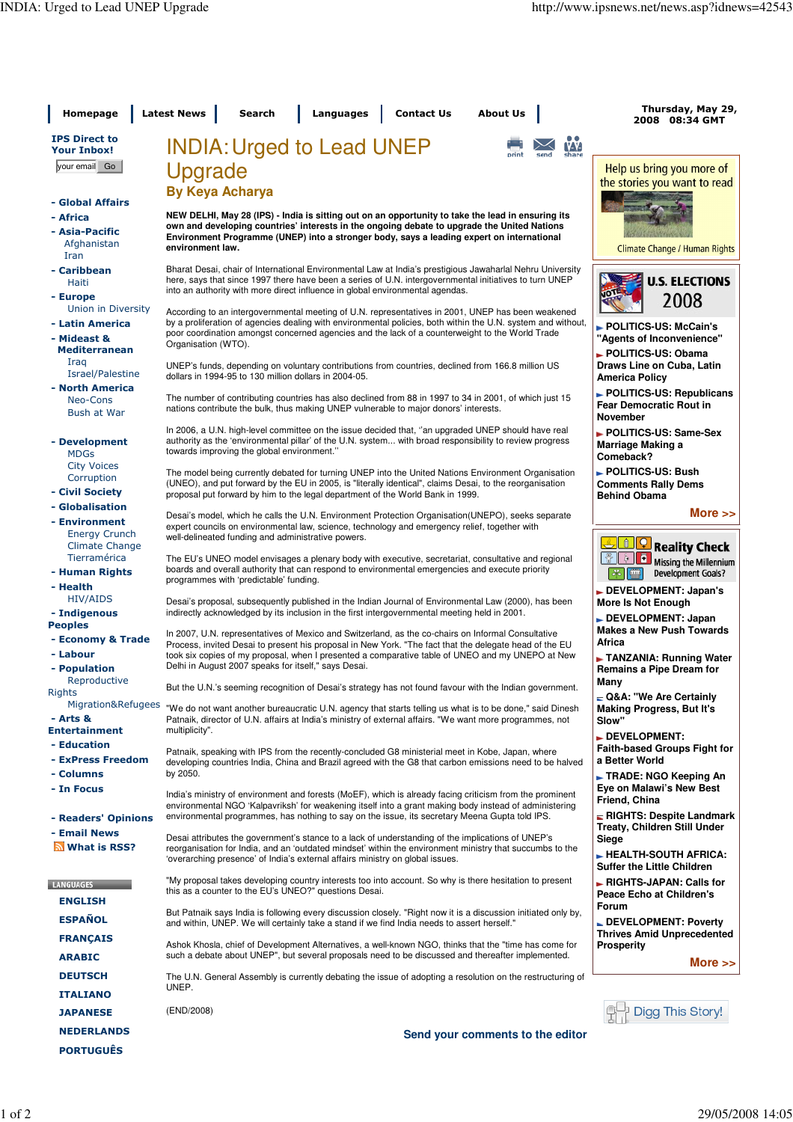| Homepage                                                | <b>Latest News</b><br><b>Contact Us</b><br>Search<br><b>Languages</b><br><b>About Us</b>                                                                                                                                                                                                             | Thursday, May 29,<br>2008 08:34 GMT                                                                  |
|---------------------------------------------------------|------------------------------------------------------------------------------------------------------------------------------------------------------------------------------------------------------------------------------------------------------------------------------------------------------|------------------------------------------------------------------------------------------------------|
| <b>IPS Direct to</b><br><b>Your Inbox!</b>              | <b>INDIA: Urged to Lead UNEP</b><br>send                                                                                                                                                                                                                                                             |                                                                                                      |
| your email Go                                           | Upgrade                                                                                                                                                                                                                                                                                              | Help us bring you more of<br>the stories you want to read                                            |
|                                                         | <b>By Keya Acharya</b>                                                                                                                                                                                                                                                                               |                                                                                                      |
| - Global Affairs<br>- Africa                            | NEW DELHI, May 28 (IPS) - India is sitting out on an opportunity to take the lead in ensuring its                                                                                                                                                                                                    |                                                                                                      |
| - Asia-Pacific<br>Afghanistan<br>Iran                   | own and developing countries' interests in the ongoing debate to upgrade the United Nations<br>Environment Programme (UNEP) into a stronger body, says a leading expert on international<br>environment law.                                                                                         | Climate Change / Human Rights                                                                        |
| - Caribbean<br>Haiti<br>- Europe                        | Bharat Desai, chair of International Environmental Law at India's prestigious Jawaharlal Nehru University<br>here, says that since 1997 there have been a series of U.N. intergovernmental initiatives to turn UNEP<br>into an authority with more direct influence in global environmental agendas. | <b>U.S. ELECTIONS</b><br>டை                                                                          |
| Union in Diversity                                      | According to an intergovernmental meeting of U.N. representatives in 2001, UNEP has been weakened                                                                                                                                                                                                    | 2008                                                                                                 |
| - Latin America<br>- Mideast &<br><b>Mediterranean</b>  | by a proliferation of agencies dealing with environmental policies, both within the U.N. system and without,<br>poor coordination amongst concerned agencies and the lack of a counterweight to the World Trade<br>Organisation (WTO).                                                               | POLITICS-US: McCain's<br>"Agents of Inconvenience"<br>POLITICS-US: Obama                             |
| Iraq<br>Israel/Palestine                                | UNEP's funds, depending on voluntary contributions from countries, declined from 166.8 million US<br>dollars in 1994-95 to 130 million dollars in 2004-05.                                                                                                                                           | Draws Line on Cuba, Latin<br><b>America Policy</b>                                                   |
| - North America<br>Neo-Cons<br><b>Bush at War</b>       | The number of contributing countries has also declined from 88 in 1997 to 34 in 2001, of which just 15<br>nations contribute the bulk, thus making UNEP vulnerable to major donors' interests.                                                                                                       | POLITICS-US: Republicans<br><b>Fear Democratic Rout in</b><br><b>November</b>                        |
| - Development<br><b>MDGs</b>                            | In 2006, a U.N. high-level committee on the issue decided that, "an upgraded UNEP should have real<br>authority as the 'environmental pillar' of the U.N. system with broad responsibility to review progress<br>towards improving the global environment."                                          | POLITICS-US: Same-Sex<br>Marriage Making a<br>Comeback?                                              |
| <b>City Voices</b><br>Corruption<br>- Civil Society     | The model being currently debated for turning UNEP into the United Nations Environment Organisation<br>(UNEO), and put forward by the EU in 2005, is "literally identical", claims Desai, to the reorganisation<br>proposal put forward by him to the legal department of the World Bank in 1999.    | POLITICS-US: Bush<br><b>Comments Rally Dems</b><br><b>Behind Obama</b>                               |
| - Globalisation                                         | Desai's model, which he calls the U.N. Environment Protection Organisation (UNEPO), seeks separate                                                                                                                                                                                                   | More $\gg$                                                                                           |
| - Environment<br><b>Energy Crunch</b>                   | expert councils on environmental law, science, technology and emergency relief, together with<br>well-delineated funding and administrative powers.                                                                                                                                                  |                                                                                                      |
| <b>Climate Change</b><br>Tierramérica<br>- Human Rights | The EU's UNEO model envisages a plenary body with executive, secretariat, consultative and regional<br>boards and overall authority that can respond to environmental emergencies and execute priority                                                                                               | <b>n</b> Q Reality Check<br>ō<br>b.<br>Missing the Millennium<br>œ<br><b>Development Goals?</b><br>æ |
| - Health                                                | programmes with 'predictable' funding.                                                                                                                                                                                                                                                               | DEVELOPMENT: Japan's                                                                                 |
| <b>HIV/AIDS</b><br>- Indigenous                         | Desai's proposal, subsequently published in the Indian Journal of Environmental Law (2000), has been<br>indirectly acknowledged by its inclusion in the first intergovernmental meeting held in 2001.                                                                                                | More Is Not Enough<br>DEVELOPMENT: Japan                                                             |
| <b>Peoples</b><br>- Economy & Trade                     | In 2007, U.N. representatives of Mexico and Switzerland, as the co-chairs on Informal Consultative<br>Process, invited Desai to present his proposal in New York. "The fact that the delegate head of the EU                                                                                         | <b>Makes a New Push Towards</b><br>Africa                                                            |
| - Labour<br>- Population<br>Reproductive                | took six copies of my proposal, when I presented a comparative table of UNEO and my UNEPO at New<br>Delhi in August 2007 speaks for itself," says Desai.                                                                                                                                             | TANZANIA: Running Water<br>Remains a Pipe Dream for                                                  |
| Rights                                                  | But the U.N.'s seeming recognition of Desai's strategy has not found favour with the Indian government.                                                                                                                                                                                              | Many<br>$\blacksquare$ Q&A: "We Are Certainly                                                        |
| - Arts &<br><b>Entertainment</b>                        | Migration&Refugees "We do not want another bureaucratic U.N. agency that starts telling us what is to be done," said Dinesh<br>Patnaik, director of U.N. affairs at India's ministry of external affairs. "We want more programmes, not<br>multiplicity".                                            | <b>Making Progress, But It's</b><br>Slow"                                                            |
| - Education<br>- ExPress Freedom                        | Patnaik, speaking with IPS from the recently-concluded G8 ministerial meet in Kobe, Japan, where                                                                                                                                                                                                     | DEVELOPMENT:<br><b>Faith-based Groups Fight for</b><br>a Better World                                |
| - Columns                                               | developing countries India, China and Brazil agreed with the G8 that carbon emissions need to be halved<br>by 2050.                                                                                                                                                                                  | ► TRADE: NGO Keeping An                                                                              |
| - In Focus                                              | India's ministry of environment and forests (MoEF), which is already facing criticism from the prominent<br>environmental NGO 'Kalpavriksh' for weakening itself into a grant making body instead of administering                                                                                   | Eye on Malawi's New Best<br>Friend, China                                                            |
| - Readers' Opinions                                     | environmental programmes, has nothing to say on the issue, its secretary Meena Gupta told IPS.                                                                                                                                                                                                       | RIGHTS: Despite Landmark<br><b>Treaty, Children Still Under</b>                                      |
| - Email News<br><b>N</b> What is RSS?                   | Desai attributes the government's stance to a lack of understanding of the implications of UNEP's<br>reorganisation for India, and an 'outdated mindset' within the environment ministry that succumbs to the<br>'overarching presence' of India's external affairs ministry on global issues.       | Siege<br><b>- HEALTH-SOUTH AFRICA:</b><br><b>Suffer the Little Children</b>                          |
| <b>LANGUAGES</b><br><b>ENGLISH</b>                      | "My proposal takes developing country interests too into account. So why is there hesitation to present<br>this as a counter to the EU's UNEO?" questions Desai.                                                                                                                                     | RIGHTS-JAPAN: Calls for<br>Peace Echo at Children's                                                  |
| <b>ESPAÑOL</b>                                          | But Patnaik says India is following every discussion closely. "Right now it is a discussion initiated only by,<br>and within, UNEP. We will certainly take a stand if we find India needs to assert herself."                                                                                        | Forum<br>$\blacksquare$ DEVELOPMENT: Poverty                                                         |
| <b>FRANÇAIS</b>                                         | Ashok Khosla, chief of Development Alternatives, a well-known NGO, thinks that the "time has come for                                                                                                                                                                                                | <b>Thrives Amid Unprecedented</b><br><b>Prosperity</b>                                               |
| <b>ARABIC</b>                                           | such a debate about UNEP", but several proposals need to be discussed and thereafter implemented.                                                                                                                                                                                                    | More $\gg$                                                                                           |
| <b>DEUTSCH</b>                                          | The U.N. General Assembly is currently debating the issue of adopting a resolution on the restructuring of<br>UNEP.                                                                                                                                                                                  |                                                                                                      |
| <b>ITALIANO</b>                                         | (END/2008)                                                                                                                                                                                                                                                                                           | Digg This Story!                                                                                     |
| <b>JAPANESE</b><br><b>NEDERLANDS</b>                    |                                                                                                                                                                                                                                                                                                      |                                                                                                      |
| <b>PORTUGUÊS</b>                                        | Send your comments to the editor                                                                                                                                                                                                                                                                     |                                                                                                      |